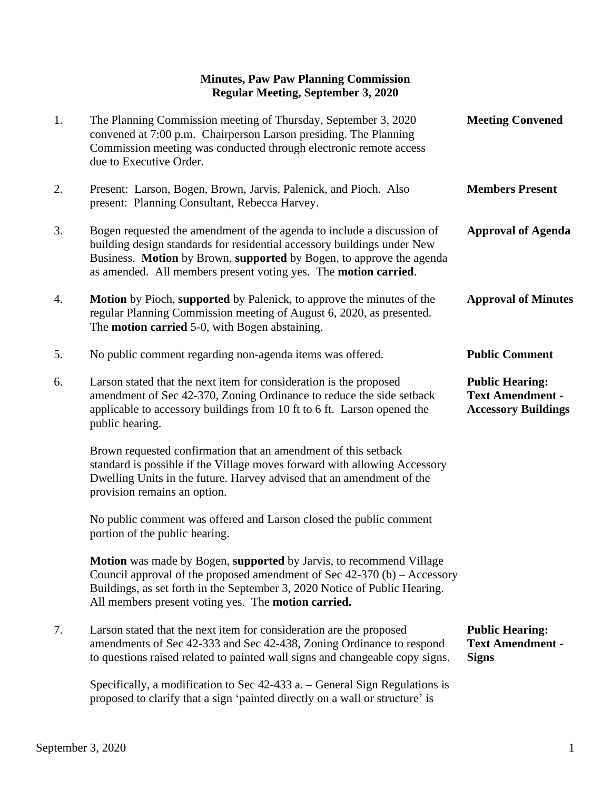## **Minutes, Paw Paw Planning Commission Regular Meeting, September 3, 2020**

| 1. | The Planning Commission meeting of Thursday, September 3, 2020<br>convened at 7:00 p.m. Chairperson Larson presiding. The Planning<br>Commission meeting was conducted through electronic remote access<br>due to Executive Order.                                                            | <b>Meeting Convened</b>                                                         |
|----|-----------------------------------------------------------------------------------------------------------------------------------------------------------------------------------------------------------------------------------------------------------------------------------------------|---------------------------------------------------------------------------------|
| 2. | Present: Larson, Bogen, Brown, Jarvis, Palenick, and Pioch. Also<br>present: Planning Consultant, Rebecca Harvey.                                                                                                                                                                             | <b>Members Present</b>                                                          |
| 3. | Bogen requested the amendment of the agenda to include a discussion of<br>building design standards for residential accessory buildings under New<br>Business. Motion by Brown, supported by Bogen, to approve the agenda<br>as amended. All members present voting yes. The motion carried.  | <b>Approval of Agenda</b>                                                       |
| 4. | <b>Motion</b> by Pioch, supported by Palenick, to approve the minutes of the<br>regular Planning Commission meeting of August 6, 2020, as presented.<br>The <b>motion carried</b> 5-0, with Bogen abstaining.                                                                                 | <b>Approval of Minutes</b>                                                      |
| 5. | No public comment regarding non-agenda items was offered.                                                                                                                                                                                                                                     | <b>Public Comment</b>                                                           |
| 6. | Larson stated that the next item for consideration is the proposed<br>amendment of Sec 42-370, Zoning Ordinance to reduce the side setback<br>applicable to accessory buildings from 10 ft to 6 ft. Larson opened the<br>public hearing.                                                      | <b>Public Hearing:</b><br><b>Text Amendment -</b><br><b>Accessory Buildings</b> |
|    | Brown requested confirmation that an amendment of this setback<br>standard is possible if the Village moves forward with allowing Accessory<br>Dwelling Units in the future. Harvey advised that an amendment of the<br>provision remains an option.                                          |                                                                                 |
|    | No public comment was offered and Larson closed the public comment<br>portion of the public hearing.                                                                                                                                                                                          |                                                                                 |
|    | Motion was made by Bogen, supported by Jarvis, to recommend Village<br>Council approval of the proposed amendment of Sec $42-370$ (b) – Accessory<br>Buildings, as set forth in the September 3, 2020 Notice of Public Hearing.<br>All members present voting yes. The <b>motion carried.</b> |                                                                                 |
| 7. | Larson stated that the next item for consideration are the proposed<br>amendments of Sec 42-333 and Sec 42-438, Zoning Ordinance to respond<br>to questions raised related to painted wall signs and changeable copy signs.                                                                   | <b>Public Hearing:</b><br><b>Text Amendment -</b><br><b>Signs</b>               |
|    | Specifically, a modification to Sec 42-433 a. – General Sign Regulations is<br>proposed to clarify that a sign 'painted directly on a wall or structure' is                                                                                                                                   |                                                                                 |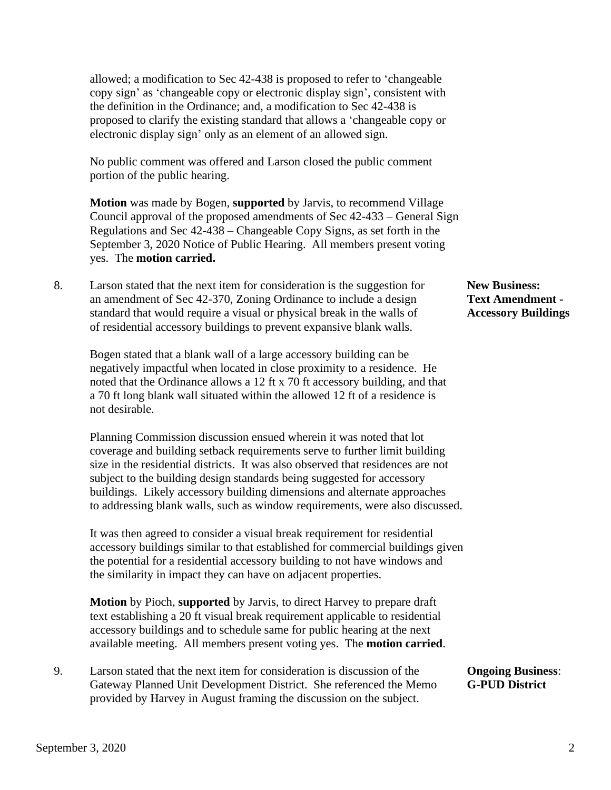allowed; a modification to Sec 42-438 is proposed to refer to 'changeable copy sign' as 'changeable copy or electronic display sign', consistent with the definition in the Ordinance; and, a modification to Sec 42-438 is proposed to clarify the existing standard that allows a 'changeable copy or electronic display sign' only as an element of an allowed sign.

 No public comment was offered and Larson closed the public comment portion of the public hearing.

 **Motion** was made by Bogen, **supported** by Jarvis, to recommend Village Council approval of the proposed amendments of Sec 42-433 – General Sign Regulations and Sec 42-438 – Changeable Copy Signs, as set forth in the September 3, 2020 Notice of Public Hearing. All members present voting yes. The **motion carried.**

8. Larson stated that the next item for consideration is the suggestion for **New Business:** an amendment of Sec 42-370, Zoning Ordinance to include a design **Text Amendment**  standard that would require a visual or physical break in the walls of **Accessory Buildings** of residential accessory buildings to prevent expansive blank walls.

 Bogen stated that a blank wall of a large accessory building can be negatively impactful when located in close proximity to a residence. He noted that the Ordinance allows a 12 ft x 70 ft accessory building, and that a 70 ft long blank wall situated within the allowed 12 ft of a residence is not desirable.

 Planning Commission discussion ensued wherein it was noted that lot coverage and building setback requirements serve to further limit building size in the residential districts. It was also observed that residences are not subject to the building design standards being suggested for accessory buildings. Likely accessory building dimensions and alternate approaches to addressing blank walls, such as window requirements, were also discussed.

 It was then agreed to consider a visual break requirement for residential accessory buildings similar to that established for commercial buildings given the potential for a residential accessory building to not have windows and the similarity in impact they can have on adjacent properties.

 **Motion** by Pioch, **supported** by Jarvis, to direct Harvey to prepare draft text establishing a 20 ft visual break requirement applicable to residential accessory buildings and to schedule same for public hearing at the next available meeting. All members present voting yes. The **motion carried**.

9. Larson stated that the next item for consideration is discussion of the **Ongoing Business**: Gateway Planned Unit Development District. She referenced the Memo **G-PUD District** provided by Harvey in August framing the discussion on the subject.